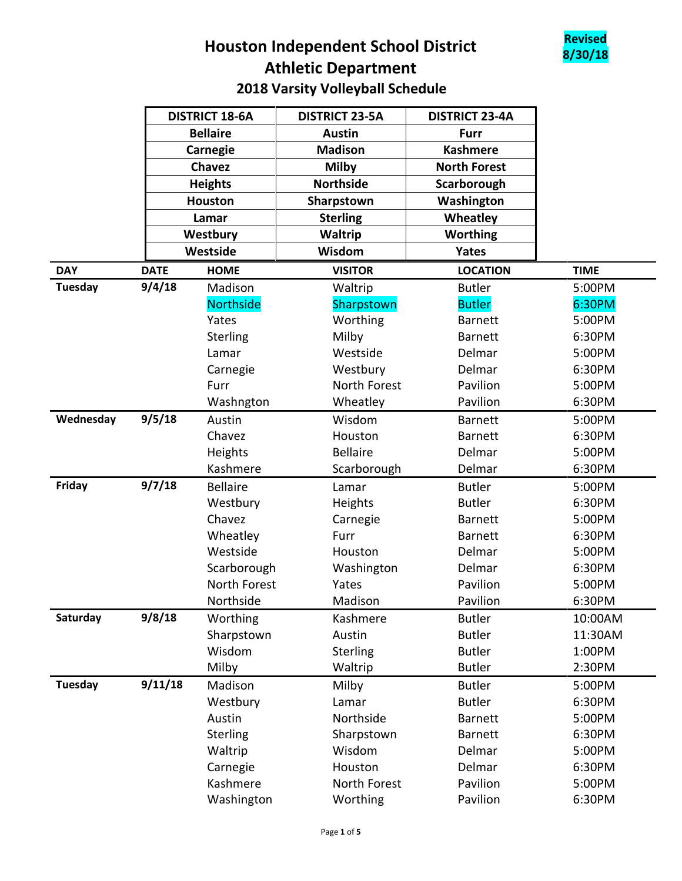## **8/30/18 Houston Independent School District Athletic Department 2018 Varsity Volleyball Schedule**



|                           | <b>DISTRICT 18-6A</b> | <b>DISTRICT 23-5A</b> | <b>DISTRICT 23-4A</b> |             |
|---------------------------|-----------------------|-----------------------|-----------------------|-------------|
|                           | <b>Bellaire</b>       | <b>Austin</b>         | <b>Furr</b>           |             |
|                           | Carnegie              | <b>Madison</b>        | <b>Kashmere</b>       |             |
|                           | Chavez                | <b>Milby</b>          | <b>North Forest</b>   |             |
|                           | <b>Heights</b>        | <b>Northside</b>      | Scarborough           |             |
|                           | <b>Houston</b>        | Sharpstown            | Washington            |             |
|                           | Lamar                 | <b>Sterling</b>       | Wheatley              |             |
|                           | Westbury              | Waltrip               | <b>Worthing</b>       |             |
|                           | Westside              | Wisdom                | Yates                 |             |
| <b>DAY</b><br><b>DATE</b> | <b>HOME</b>           | <b>VISITOR</b>        | <b>LOCATION</b>       | <b>TIME</b> |
| 9/4/18<br><b>Tuesday</b>  | Madison               | Waltrip               | <b>Butler</b>         | 5:00PM      |
|                           | <b>Northside</b>      | Sharpstown            | <b>Butler</b>         | 6:30PM      |
|                           | Yates                 | Worthing              | <b>Barnett</b>        | 5:00PM      |
|                           | Sterling              | Milby                 | <b>Barnett</b>        | 6:30PM      |
|                           | Lamar                 | Westside              | Delmar                | 5:00PM      |
|                           | Carnegie              | Westbury              | Delmar                | 6:30PM      |
|                           | Furr                  | North Forest          | Pavilion              | 5:00PM      |
|                           | Washngton             | Wheatley              | Pavilion              | 6:30PM      |
| Wednesday<br>9/5/18       | Austin                | Wisdom                | <b>Barnett</b>        | 5:00PM      |
|                           | Chavez                | Houston               | <b>Barnett</b>        | 6:30PM      |
|                           | Heights               | <b>Bellaire</b>       | Delmar                | 5:00PM      |
|                           | Kashmere              | Scarborough           | Delmar                | 6:30PM      |
| 9/7/18<br>Friday          | <b>Bellaire</b>       | Lamar                 | <b>Butler</b>         | 5:00PM      |
|                           | Westbury              | Heights               | <b>Butler</b>         | 6:30PM      |
|                           | Chavez                | Carnegie              | <b>Barnett</b>        | 5:00PM      |
|                           | Wheatley              | Furr                  | <b>Barnett</b>        | 6:30PM      |
|                           | Westside              | Houston               | Delmar                | 5:00PM      |
|                           | Scarborough           | Washington            | Delmar                | 6:30PM      |
|                           | North Forest          | Yates                 | Pavilion              | 5:00PM      |
|                           | Northside             | Madison               | Pavilion              | 6:30PM      |
| Saturday<br>9/8/18        | Worthing              | Kashmere              | <b>Butler</b>         | 10:00AM     |
|                           | Sharpstown            | Austin                | <b>Butler</b>         | 11:30AM     |
|                           | Wisdom                | Sterling              | <b>Butler</b>         | 1:00PM      |
|                           | Milby                 | Waltrip               | <b>Butler</b>         | 2:30PM      |
| Tuesday<br>9/11/18        | Madison               | Milby                 | <b>Butler</b>         | 5:00PM      |
|                           | Westbury              | Lamar                 | <b>Butler</b>         | 6:30PM      |
|                           | Austin                | Northside             | <b>Barnett</b>        | 5:00PM      |
|                           | Sterling              | Sharpstown            | <b>Barnett</b>        | 6:30PM      |
|                           | Waltrip               | Wisdom                | Delmar                | 5:00PM      |
|                           | Carnegie              | Houston               | Delmar                | 6:30PM      |
|                           | Kashmere              | North Forest          | Pavilion              | 5:00PM      |
|                           | Washington            | Worthing              | Pavilion              | 6:30PM      |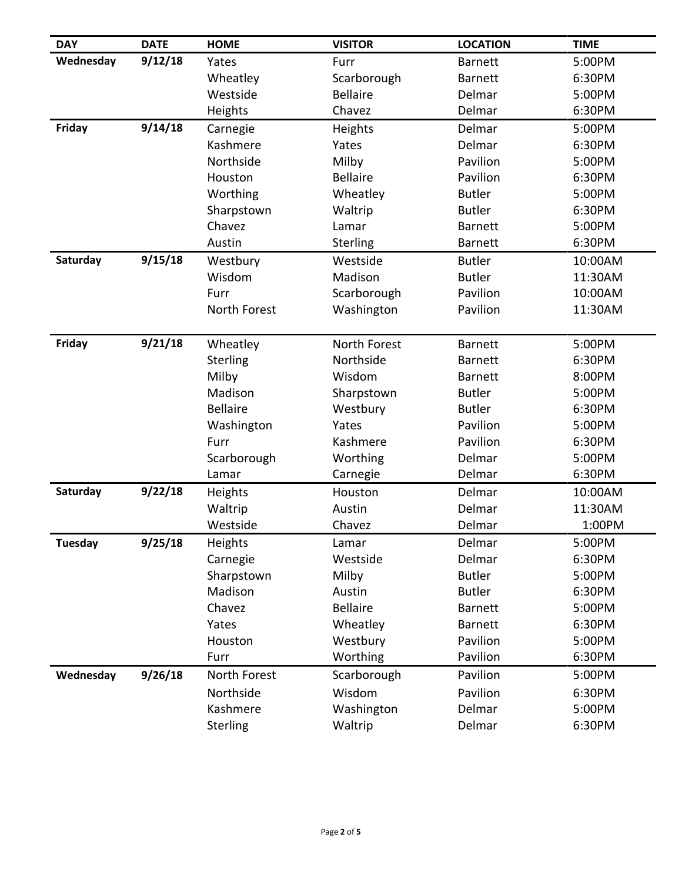| <b>DAY</b>    | <b>DATE</b> | <b>HOME</b>     | <b>VISITOR</b>  | <b>LOCATION</b> | <b>TIME</b> |
|---------------|-------------|-----------------|-----------------|-----------------|-------------|
| Wednesday     | 9/12/18     | Yates           | Furr            | <b>Barnett</b>  | 5:00PM      |
|               |             | Wheatley        | Scarborough     | <b>Barnett</b>  | 6:30PM      |
|               |             | Westside        | <b>Bellaire</b> | Delmar          | 5:00PM      |
|               |             | Heights         | Chavez          | Delmar          | 6:30PM      |
| Friday        | 9/14/18     | Carnegie        | Heights         | Delmar          | 5:00PM      |
|               |             | Kashmere        | Yates           | Delmar          | 6:30PM      |
|               |             | Northside       | Milby           | Pavilion        | 5:00PM      |
|               |             | Houston         | <b>Bellaire</b> | Pavilion        | 6:30PM      |
|               |             | Worthing        | Wheatley        | <b>Butler</b>   | 5:00PM      |
|               |             | Sharpstown      | Waltrip         | <b>Butler</b>   | 6:30PM      |
|               |             | Chavez          | Lamar           | <b>Barnett</b>  | 5:00PM      |
|               |             | Austin          | <b>Sterling</b> | <b>Barnett</b>  | 6:30PM      |
| Saturday      | 9/15/18     | Westbury        | Westside        | <b>Butler</b>   | 10:00AM     |
|               |             | Wisdom          | Madison         | <b>Butler</b>   | 11:30AM     |
|               |             | Furr            | Scarborough     | Pavilion        | 10:00AM     |
|               |             | North Forest    | Washington      | Pavilion        | 11:30AM     |
|               |             |                 |                 |                 |             |
| <b>Friday</b> | 9/21/18     | Wheatley        | North Forest    | <b>Barnett</b>  | 5:00PM      |
|               |             | Sterling        | Northside       | <b>Barnett</b>  | 6:30PM      |
|               |             | Milby           | Wisdom          | <b>Barnett</b>  | 8:00PM      |
|               |             | Madison         | Sharpstown      | <b>Butler</b>   | 5:00PM      |
|               |             | <b>Bellaire</b> | Westbury        | <b>Butler</b>   | 6:30PM      |
|               |             | Washington      | Yates           | Pavilion        | 5:00PM      |
|               |             | Furr            | Kashmere        | Pavilion        | 6:30PM      |
|               |             | Scarborough     | Worthing        | Delmar          | 5:00PM      |
|               |             | Lamar           | Carnegie        | Delmar          | 6:30PM      |
| Saturday      | 9/22/18     | Heights         | Houston         | Delmar          | 10:00AM     |
|               |             | Waltrip         | Austin          | Delmar          | 11:30AM     |
|               |             | Westside        | Chavez          | Delmar          | 1:00PM      |
| Tuesday       | 9/25/18     | Heights         | Lamar           | Delmar          | 5:00PM      |
|               |             | Carnegie        | Westside        | Delmar          | 6:30PM      |
|               |             | Sharpstown      | Milby           | <b>Butler</b>   | 5:00PM      |
|               |             | Madison         | Austin          | <b>Butler</b>   | 6:30PM      |
|               |             | Chavez          | <b>Bellaire</b> | <b>Barnett</b>  | 5:00PM      |
|               |             | Yates           | Wheatley        | <b>Barnett</b>  | 6:30PM      |
|               |             | Houston         | Westbury        | Pavilion        | 5:00PM      |
|               |             | Furr            | Worthing        | Pavilion        | 6:30PM      |
| Wednesday     | 9/26/18     | North Forest    | Scarborough     | Pavilion        | 5:00PM      |
|               |             | Northside       | Wisdom          | Pavilion        | 6:30PM      |
|               |             | Kashmere        | Washington      | Delmar          | 5:00PM      |
|               |             | <b>Sterling</b> | Waltrip         | Delmar          | 6:30PM      |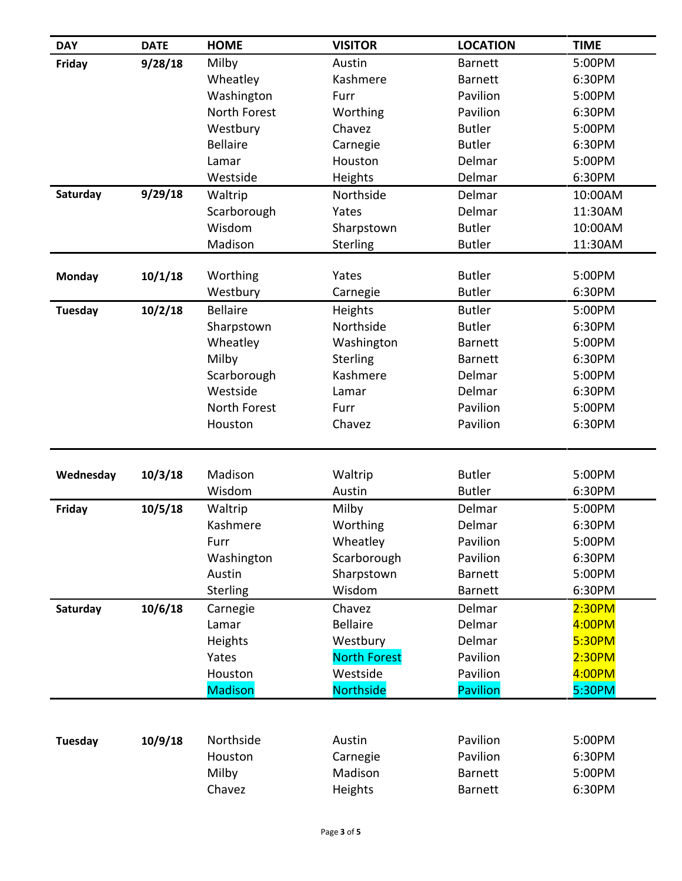| <b>DAY</b>     | <b>DATE</b> | <b>HOME</b>     | <b>VISITOR</b>      | <b>LOCATION</b> | <b>TIME</b> |
|----------------|-------------|-----------------|---------------------|-----------------|-------------|
| Friday         | 9/28/18     | Milby           | Austin              | <b>Barnett</b>  | 5:00PM      |
|                |             | Wheatley        | Kashmere            | <b>Barnett</b>  | 6:30PM      |
|                |             | Washington      | Furr                | Pavilion        | 5:00PM      |
|                |             | North Forest    | Worthing            | Pavilion        | 6:30PM      |
|                |             | Westbury        | Chavez              | <b>Butler</b>   | 5:00PM      |
|                |             | <b>Bellaire</b> | Carnegie            | <b>Butler</b>   | 6:30PM      |
|                |             | Lamar           | Houston             | Delmar          | 5:00PM      |
|                |             | Westside        | Heights             | Delmar          | 6:30PM      |
| Saturday       | 9/29/18     | Waltrip         | Northside           | Delmar          | 10:00AM     |
|                |             | Scarborough     | Yates               | Delmar          | 11:30AM     |
|                |             | Wisdom          | Sharpstown          | <b>Butler</b>   | 10:00AM     |
|                |             | Madison         | <b>Sterling</b>     | <b>Butler</b>   | 11:30AM     |
| <b>Monday</b>  | 10/1/18     | Worthing        | Yates               | <b>Butler</b>   | 5:00PM      |
|                |             | Westbury        | Carnegie            | <b>Butler</b>   | 6:30PM      |
| Tuesday        | 10/2/18     | <b>Bellaire</b> | Heights             | <b>Butler</b>   | 5:00PM      |
|                |             | Sharpstown      | Northside           | <b>Butler</b>   | 6:30PM      |
|                |             | Wheatley        | Washington          | <b>Barnett</b>  | 5:00PM      |
|                |             | Milby           | Sterling            | <b>Barnett</b>  | 6:30PM      |
|                |             | Scarborough     | Kashmere            | Delmar          | 5:00PM      |
|                |             | Westside        | Lamar               | Delmar          | 6:30PM      |
|                |             | North Forest    | Furr                | Pavilion        | 5:00PM      |
|                |             | Houston         | Chavez              | Pavilion        | 6:30PM      |
|                |             |                 |                     |                 |             |
|                |             |                 |                     |                 |             |
| Wednesday      | 10/3/18     | Madison         | Waltrip             | <b>Butler</b>   | 5:00PM      |
|                |             | Wisdom          | Austin              | <b>Butler</b>   | 6:30PM      |
| Friday         | 10/5/18     | Waltrip         | Milby               | Delmar          | 5:00PM      |
|                |             | Kashmere        | Worthing            | Delmar          | 6:30PM      |
|                |             | Furr            | Wheatley            | Pavilion        | 5:00PM      |
|                |             | Washington      | Scarborough         | Pavilion        | 6:30PM      |
|                |             | Austin          | Sharpstown          | <b>Barnett</b>  | 5:00PM      |
|                |             | Sterling        | Wisdom              | <b>Barnett</b>  | 6:30PM      |
| Saturday       | 10/6/18     | Carnegie        | Chavez              | Delmar          | 2:30PM      |
|                |             | Lamar           | <b>Bellaire</b>     | Delmar          | 4:00PM      |
|                |             | Heights         | Westbury            | Delmar          | 5:30PM      |
|                |             | Yates           | <b>North Forest</b> | Pavilion        | 2:30PM      |
|                |             | Houston         | Westside            | Pavilion        | 4:00PM      |
|                |             | <b>Madison</b>  | Northside           | <b>Pavilion</b> | 5:30PM      |
|                |             |                 |                     |                 |             |
| <b>Tuesday</b> | 10/9/18     | Northside       | Austin              | Pavilion        | 5:00PM      |
|                |             | Houston         | Carnegie            | Pavilion        | 6:30PM      |
|                |             | Milby           | Madison             | <b>Barnett</b>  | 5:00PM      |
|                |             | Chavez          | Heights             | <b>Barnett</b>  | 6:30PM      |
|                |             |                 |                     |                 |             |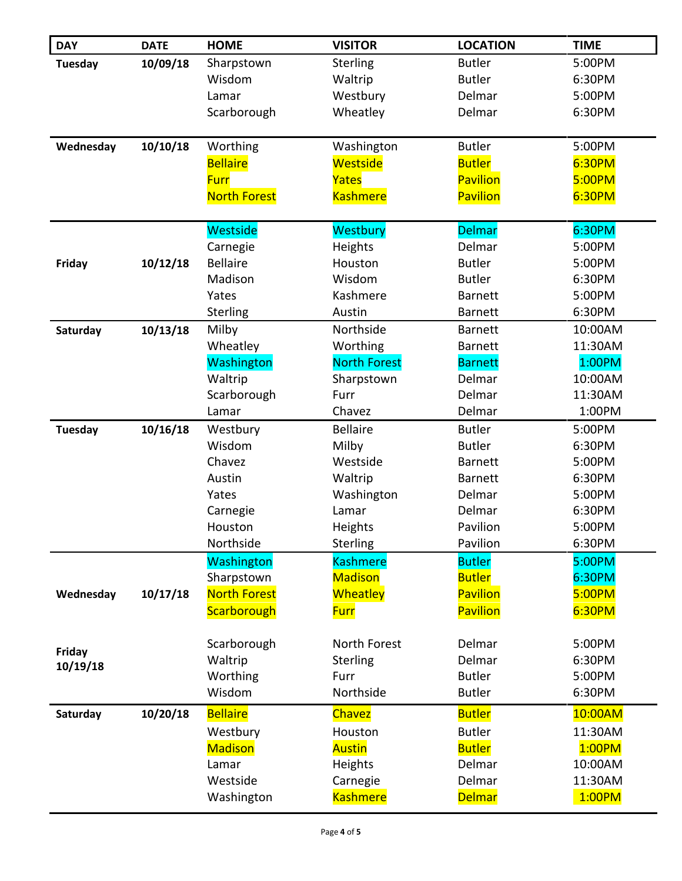| <b>DAY</b>     | <b>DATE</b> | <b>HOME</b>                 | <b>VISITOR</b>      | <b>LOCATION</b>         | <b>TIME</b>       |
|----------------|-------------|-----------------------------|---------------------|-------------------------|-------------------|
| <b>Tuesday</b> | 10/09/18    | Sharpstown                  | Sterling            | <b>Butler</b>           | 5:00PM            |
|                |             | Wisdom                      | Waltrip             | <b>Butler</b>           | 6:30PM            |
|                |             | Lamar                       | Westbury            | Delmar                  | 5:00PM            |
|                |             | Scarborough                 | Wheatley            | Delmar                  | 6:30PM            |
|                |             |                             |                     |                         |                   |
| Wednesday      | 10/10/18    | Worthing                    | Washington          | <b>Butler</b>           | 5:00PM            |
|                |             | <b>Bellaire</b>             | Westside            | <b>Butler</b>           | 6:30PM            |
|                |             | <b>Furr</b>                 | Yates               | <b>Pavilion</b>         | 5:00PM            |
|                |             | <b>North Forest</b>         | <b>Kashmere</b>     | <b>Pavilion</b>         | 6:30PM            |
|                |             |                             |                     |                         |                   |
|                |             | Westside                    | Westbury            | <b>Delmar</b><br>Delmar | 6:30PM<br>5:00PM  |
|                | 10/12/18    | Carnegie<br><b>Bellaire</b> | Heights<br>Houston  | <b>Butler</b>           | 5:00PM            |
| <b>Friday</b>  |             | Madison                     | Wisdom              | <b>Butler</b>           | 6:30PM            |
|                |             | Yates                       | Kashmere            | <b>Barnett</b>          | 5:00PM            |
|                |             | <b>Sterling</b>             | Austin              | <b>Barnett</b>          | 6:30PM            |
| Saturday       | 10/13/18    | Milby                       | Northside           | <b>Barnett</b>          | 10:00AM           |
|                |             | Wheatley                    | Worthing            | <b>Barnett</b>          | 11:30AM           |
|                |             | Washington                  | <b>North Forest</b> | <b>Barnett</b>          | 1:00PM            |
|                |             | Waltrip                     | Sharpstown          | Delmar                  | 10:00AM           |
|                |             | Scarborough                 | Furr                | Delmar                  | 11:30AM           |
|                |             | Lamar                       | Chavez              | Delmar                  | 1:00PM            |
| <b>Tuesday</b> | 10/16/18    | Westbury                    | <b>Bellaire</b>     | <b>Butler</b>           | 5:00PM            |
|                |             | Wisdom                      | Milby               | <b>Butler</b>           | 6:30PM            |
|                |             | Chavez                      | Westside            | <b>Barnett</b>          | 5:00PM            |
|                |             | Austin                      | Waltrip             | <b>Barnett</b>          | 6:30PM            |
|                |             | Yates                       | Washington          | Delmar                  | 5:00PM            |
|                |             | Carnegie                    | Lamar               | Delmar                  | 6:30PM            |
|                |             | Houston                     | Heights             | Pavilion                | 5:00PM            |
|                |             | Northside                   | Sterling            | Pavilion                | 6:30PM            |
|                |             | Washington                  | <b>Kashmere</b>     | <b>Butler</b>           | 5:00PM            |
|                |             | Sharpstown                  | <b>Madison</b>      | <b>Butler</b>           | 6:30PM            |
| Wednesday      | 10/17/18    | <b>North Forest</b>         | Wheatley            | <b>Pavilion</b>         | 5:00PM            |
|                |             | Scarborough                 | <b>Furr</b>         | Pavilion                | 6:30PM            |
|                |             | Scarborough                 | North Forest        | Delmar                  | 5:00PM            |
| Friday         |             | Waltrip                     | Sterling            | Delmar                  | 6:30PM            |
| 10/19/18       |             | Worthing                    | Furr                | <b>Butler</b>           | 5:00PM            |
|                |             | Wisdom                      | Northside           | <b>Butler</b>           | 6:30PM            |
|                |             | <b>Bellaire</b>             |                     | <b>Butler</b>           | 10:00AM           |
| Saturday       | 10/20/18    |                             | <b>Chavez</b>       |                         |                   |
|                |             | Westbury                    | Houston             | <b>Butler</b>           | 11:30AM           |
|                |             | <b>Madison</b>              | <b>Austin</b>       | <b>Butler</b><br>Delmar | 1:00PM<br>10:00AM |
|                |             | Lamar<br>Westside           | Heights<br>Carnegie | Delmar                  | 11:30AM           |
|                |             |                             | <b>Kashmere</b>     | <b>Delmar</b>           | 1:00PM            |
|                |             | Washington                  |                     |                         |                   |